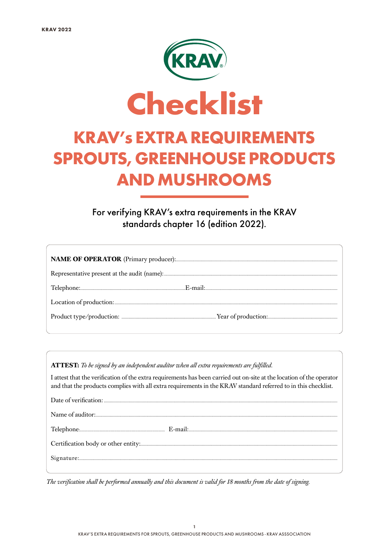

# SPROUTS, GREENHOUSE PRODUCTS AND MUSHROOMS

For verifying KRAV's extra requirements in the KRAV standards chapter 16 (edition 2022).

**ATTEST:** *To be signed by an independent auditor when all extra requirements are fulfilled.*

I attest that the verification of the extra requirements has been carried out on-site at the location of the operator and that the products complies with all extra requirements in the KRAV standard referred to in this checklist.

*The verification shall be performed annually and this document is valid for 18 months from the date of signing.*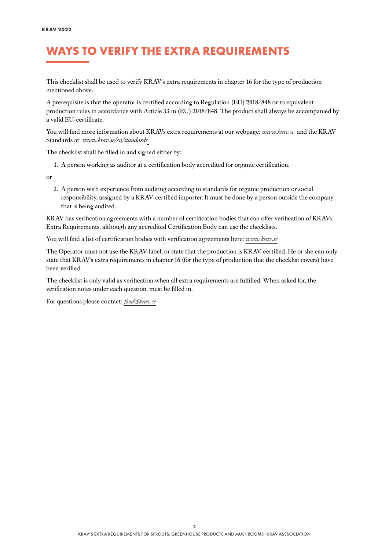## WAYS TO VERIFY THE EXTRA REQUIREMENTS

This checklist shall be used to verify KRAV´s extra requirements in chapter 16 for the type of production mentioned above.

A prerequisite is that the operator is certified according to Regulation (EU) 2018/848 or to equivalent production rules in accordance with Article 33 in (EU) 2018/848. The product shall always be accompanied by a valid EU-certificate.

You will find more information about KRAVs extra requirements at our webpage: *[www.krav.se](www.krav.se/en/for-companies/extra-requirements-for-all-products/)* and the KRAV Standards at: *[www.krav.se/en/standards](https://www.krav.se/en/standards)*

The checklist shall be filled in and signed either by:

1. A person working as auditor at a certification body accredited for organic certification.

or

2. A person with experience from auditing according to standards for organic production or social responsibility, assigned by a KRAV-certified importer. It must be done by a person outside the company that is being audited.

KRAV has verification agreements with a number of certification bodies that can offer verification of KRAVs Extra Requirements, although any accredited Certification Body can use the checklists.

You will find a list of certification bodies with verification agreements here: *[www.krav.se](https://www.krav.se/en/asset/certification-bodies-with-verification-agreement/)*

The Operator must not use the KRAV-label, or state that the production is KRAV-certified. He or she can only state that KRAV´s extra requirements in chapter 16 (for the type of production that the checklist covers) have been verified.

The checklist is only valid as verification when all extra requirements are fulfilled. When asked for, the verification notes under each question, must be filled in.

For questions please contact: *[food@krav.se](mailto:food%40krav.se?subject=From%20extra%20requirements)*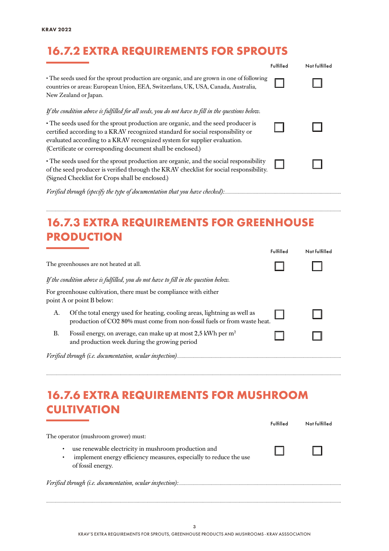## 16.7.2 EXTRA REQUIREMENTS FOR SPROUTS

|                                                                                                                                                                                                                                                                                                              | Fulfilled | Not fulfilled |
|--------------------------------------------------------------------------------------------------------------------------------------------------------------------------------------------------------------------------------------------------------------------------------------------------------------|-----------|---------------|
| The seeds used for the sprout production are organic, and are grown in one of following<br>countries or areas: European Union, EEA, Switzerlans, UK, USA, Canada, Australia,<br>New Zealand or Japan.                                                                                                        |           |               |
| If the condition above is fulfilled for all seeds, you do not have to fill in the questions below.                                                                                                                                                                                                           |           |               |
| • The seeds used for the sprout production are organic, and the seed producer is<br>certified according to a KRAV recognized standard for social responsibility or<br>evaluated according to a KRAV recognized system for supplier evaluation.<br>(Certificate or corresponding document shall be enclosed.) |           |               |
| · The seeds used for the sprout production are organic, and the social responsibility<br>of the seed producer is verified through the KRAV checklist for social responsibility.<br>(Signed Checklist for Crops shall be enclosed.)                                                                           |           |               |
| Verified through (specify the type of documentation that you have checked):…………………………………………………………………                                                                                                                                                                                                         |           |               |

## 16.7.3 EXTRA REQUIREMENTS FOR GREENHOUSE **PRODUCTION**

*..........................................................................................................................................................................................................................................................*

|    |                                                                                                                                                        | Fulfilled | Not fulfilled |
|----|--------------------------------------------------------------------------------------------------------------------------------------------------------|-----------|---------------|
|    | The greenhouses are not heated at all.                                                                                                                 |           |               |
|    | If the condition above is fulfilled, you do not have to fill in the question below.                                                                    |           |               |
|    | For greenhouse cultivation, there must be compliance with either<br>point A or point B below:                                                          |           |               |
| А. | Of the total energy used for heating, cooling areas, lightning as well as<br>production of CO2 80% must come from non-fossil fuels or from waste heat. |           |               |
| В. | Fossil energy, on average, can make up at most 2,5 kWh per m <sup>2</sup><br>and production week during the growing period                             |           |               |
|    |                                                                                                                                                        |           |               |

*..........................................................................................................................................................................................................................................................*

#### 16.7.6 EXTRA REQUIREMENTS FOR MUSHROOM **CULTIVATION**

|                                                                                                                                                      | Fulfilled | Not fulfilled |
|------------------------------------------------------------------------------------------------------------------------------------------------------|-----------|---------------|
| The operator (mushroom grower) must:                                                                                                                 |           |               |
| use renewable electricity in mushroom production and<br>٠<br>implement energy efficiency measures, especially to reduce the use<br>of fossil energy. |           |               |
|                                                                                                                                                      |           |               |

*..........................................................................................................................................................................................................................................................*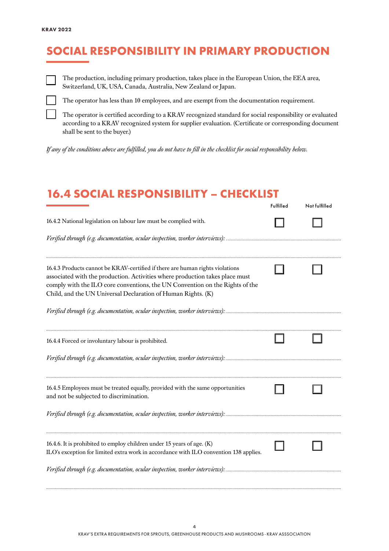# SOCIAL RESPONSIBILITY IN PRIMARY PRODUCTION



The production, including primary production, takes place in the European Union, the EEA area, Switzerland, UK, USA, Canada, Australia, New Zealand or Japan.



The operator has less than 10 employees, and are exempt from the documentation requirement.

The operator is certified according to a KRAV recognized standard for social responsibility or evaluated according to a KRAV recognized system for supplier evaluation. (Certificate or corresponding document shall be sent to the buyer.)

*If any of the conditions above are fulfilled, you do not have to fill in the checklist for social responsibility below.*

#### 16.4 SOCIAL RESPONSIBILITY – CHECKLIST

|                                                                                                                                                                                                                                                                                                               | Fulfilled | Not fulfilled |
|---------------------------------------------------------------------------------------------------------------------------------------------------------------------------------------------------------------------------------------------------------------------------------------------------------------|-----------|---------------|
| 16.4.2 National legislation on labour law must be complied with.                                                                                                                                                                                                                                              |           |               |
|                                                                                                                                                                                                                                                                                                               |           |               |
| 16.4.3 Products cannot be KRAV-certified if there are human rights violations<br>associated with the production. Activities where production takes place must<br>comply with the ILO core conventions, the UN Convention on the Rights of the<br>Child, and the UN Universal Declaration of Human Rights. (K) |           |               |
|                                                                                                                                                                                                                                                                                                               |           |               |
| 16.4.4 Forced or involuntary labour is prohibited.                                                                                                                                                                                                                                                            |           |               |
|                                                                                                                                                                                                                                                                                                               |           |               |
| 16.4.5 Employees must be treated equally, provided with the same opportunities<br>and not be subjected to discrimination.                                                                                                                                                                                     |           |               |
|                                                                                                                                                                                                                                                                                                               |           |               |
| 16.4.6. It is prohibited to employ children under 15 years of age. (K)<br>ILO's exception for limited extra work in accordance with ILO convention 138 applies.                                                                                                                                               |           |               |
|                                                                                                                                                                                                                                                                                                               |           |               |

*..........................................................................................................................................................................................................................................................*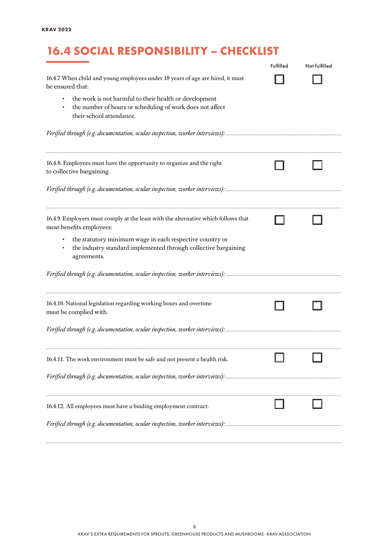# 16.4 SOCIAL RESPONSIBILITY – CHECKLIST

|                                                                                                                                                 | Fulfilled | Not fulfilled |
|-------------------------------------------------------------------------------------------------------------------------------------------------|-----------|---------------|
| 16.4.7 When child and young employees under 18 years of age are hired, it must<br>be ensured that:                                              |           |               |
| the work is not harmful to their health or development<br>the number of hours or scheduling of work does not affect<br>their school attendance. |           |               |
|                                                                                                                                                 |           |               |
| 16.4.8. Employees must have the opportunity to organize and the right<br>to collective bargaining.                                              |           |               |
|                                                                                                                                                 |           |               |
| 16.4.9. Employers must comply at the least with the alternative which follows that<br>most benefits employees:                                  |           |               |
| the statutory minimum wage in each respective country or<br>the industry standard implemented through collective bargaining<br>agreements.      |           |               |
|                                                                                                                                                 |           |               |
| 16.4.10. National legislation regarding working hours and overtime<br>must be complied with.                                                    |           |               |
|                                                                                                                                                 |           |               |
| 16.4.11. The work environment must be safe and not present a health risk.                                                                       |           |               |
|                                                                                                                                                 |           |               |
| 16.4.12. All employees must have a binding employment contract.                                                                                 |           |               |
|                                                                                                                                                 |           |               |

*..........................................................................................................................................................................................................................................................*